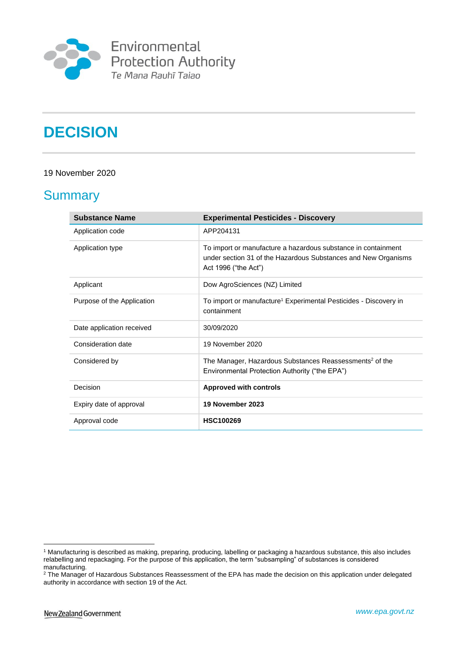

**Environmental<br>Protection Authority**<br>Te Mana Rauhī Taiao

# **DECISION**

#### 19 November 2020

### **Summary**

| <b>Substance Name</b>      | <b>Experimental Pesticides - Discovery</b>                                                                                                              |
|----------------------------|---------------------------------------------------------------------------------------------------------------------------------------------------------|
| Application code           | APP204131                                                                                                                                               |
| Application type           | To import or manufacture a hazardous substance in containment<br>under section 31 of the Hazardous Substances and New Organisms<br>Act 1996 ("the Act") |
| Applicant                  | Dow AgroSciences (NZ) Limited                                                                                                                           |
| Purpose of the Application | To import or manufacture <sup>1</sup> Experimental Pesticides - Discovery in<br>containment                                                             |
| Date application received  | 30/09/2020                                                                                                                                              |
| Consideration date         | 19 November 2020                                                                                                                                        |
| Considered by              | The Manager, Hazardous Substances Reassessments <sup>2</sup> of the<br>Environmental Protection Authority ("the EPA")                                   |
| Decision                   | <b>Approved with controls</b>                                                                                                                           |
| Expiry date of approval    | 19 November 2023                                                                                                                                        |
| Approval code              | <b>HSC100269</b>                                                                                                                                        |

<sup>1</sup> Manufacturing is described as making, preparing, producing, labelling or packaging a hazardous substance, this also includes relabelling and repackaging. For the purpose of this application, the term "subsampling" of substances is considered manufacturing.

<sup>&</sup>lt;sup>2</sup> The Manager of Hazardous Substances Reassessment of the EPA has made the decision on this application under delegated authority in accordance with section 19 of the Act.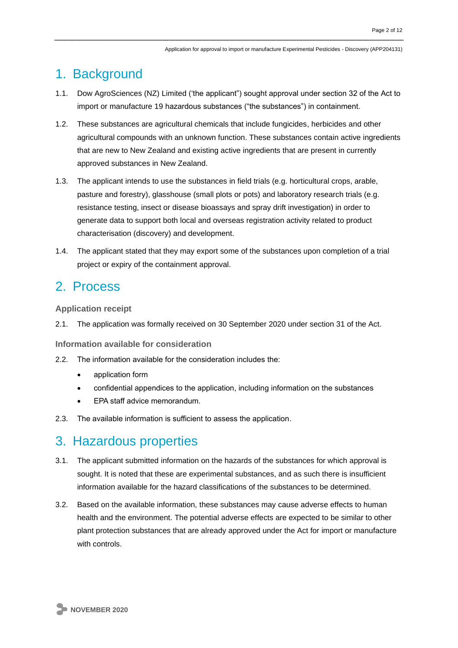### 1. Background

- 1.1. Dow AgroSciences (NZ) Limited ('the applicant") sought approval under section 32 of the Act to import or manufacture 19 hazardous substances ("the substances") in containment.
- 1.2. These substances are agricultural chemicals that include fungicides, herbicides and other agricultural compounds with an unknown function. These substances contain active ingredients that are new to New Zealand and existing active ingredients that are present in currently approved substances in New Zealand.
- 1.3. The applicant intends to use the substances in field trials (e.g. horticultural crops, arable, pasture and forestry), glasshouse (small plots or pots) and laboratory research trials (e.g. resistance testing, insect or disease bioassays and spray drift investigation) in order to generate data to support both local and overseas registration activity related to product characterisation (discovery) and development.
- 1.4. The applicant stated that they may export some of the substances upon completion of a trial project or expiry of the containment approval.

### 2. Process

**Application receipt**

2.1. The application was formally received on 30 September 2020 under section 31 of the Act.

**Information available for consideration**

- 2.2. The information available for the consideration includes the:
	- application form
	- confidential appendices to the application, including information on the substances
	- EPA staff advice memorandum.
- 2.3. The available information is sufficient to assess the application.

### 3. Hazardous properties

- 3.1. The applicant submitted information on the hazards of the substances for which approval is sought. It is noted that these are experimental substances, and as such there is insufficient information available for the hazard classifications of the substances to be determined.
- 3.2. Based on the available information, these substances may cause adverse effects to human health and the environment. The potential adverse effects are expected to be similar to other plant protection substances that are already approved under the Act for import or manufacture with controls.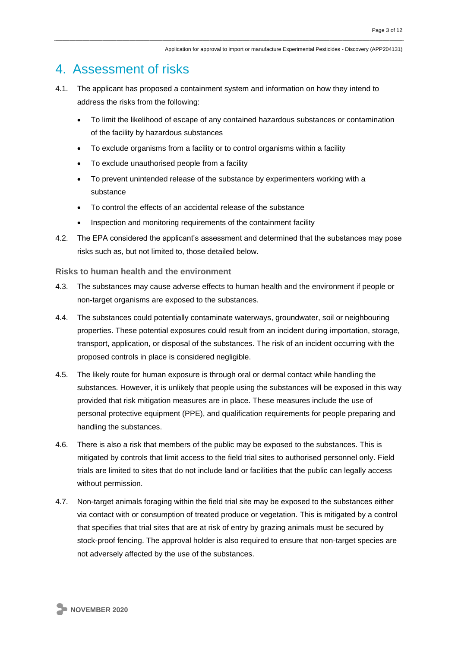### 4. Assessment of risks

- 4.1. The applicant has proposed a containment system and information on how they intend to address the risks from the following:
	- To limit the likelihood of escape of any contained hazardous substances or contamination of the facility by hazardous substances
	- To exclude organisms from a facility or to control organisms within a facility
	- To exclude unauthorised people from a facility
	- To prevent unintended release of the substance by experimenters working with a substance
	- To control the effects of an accidental release of the substance
	- Inspection and monitoring requirements of the containment facility
- 4.2. The EPA considered the applicant's assessment and determined that the substances may pose risks such as, but not limited to, those detailed below.

**Risks to human health and the environment**

- 4.3. The substances may cause adverse effects to human health and the environment if people or non-target organisms are exposed to the substances.
- 4.4. The substances could potentially contaminate waterways, groundwater, soil or neighbouring properties. These potential exposures could result from an incident during importation, storage, transport, application, or disposal of the substances. The risk of an incident occurring with the proposed controls in place is considered negligible.
- 4.5. The likely route for human exposure is through oral or dermal contact while handling the substances. However, it is unlikely that people using the substances will be exposed in this way provided that risk mitigation measures are in place. These measures include the use of personal protective equipment (PPE), and qualification requirements for people preparing and handling the substances.
- 4.6. There is also a risk that members of the public may be exposed to the substances. This is mitigated by controls that limit access to the field trial sites to authorised personnel only. Field trials are limited to sites that do not include land or facilities that the public can legally access without permission.
- 4.7. Non-target animals foraging within the field trial site may be exposed to the substances either via contact with or consumption of treated produce or vegetation. This is mitigated by a control that specifies that trial sites that are at risk of entry by grazing animals must be secured by stock-proof fencing. The approval holder is also required to ensure that non-target species are not adversely affected by the use of the substances.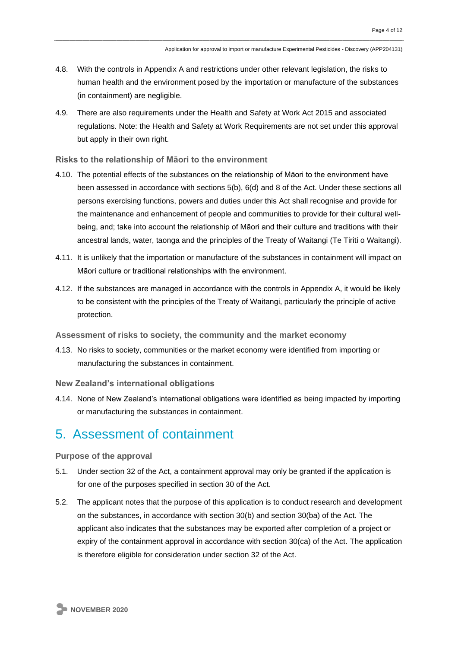- 4.8. With the controls in Appendix A and restrictions under other relevant legislation, the risks to human health and the environment posed by the importation or manufacture of the substances (in containment) are negligible.
- 4.9. There are also requirements under the Health and Safety at Work Act 2015 and associated regulations. Note: the Health and Safety at Work Requirements are not set under this approval but apply in their own right.

**Risks to the relationship of Māori to the environment**

- 4.10. The potential effects of the substances on the relationship of Māori to the environment have been assessed in accordance with sections 5(b), 6(d) and 8 of the Act. Under these sections all persons exercising functions, powers and duties under this Act shall recognise and provide for the maintenance and enhancement of people and communities to provide for their cultural wellbeing, and; take into account the relationship of Māori and their culture and traditions with their ancestral lands, water, taonga and the principles of the Treaty of Waitangi (Te Tiriti o Waitangi).
- 4.11. It is unlikely that the importation or manufacture of the substances in containment will impact on Māori culture or traditional relationships with the environment.
- 4.12. If the substances are managed in accordance with the controls in Appendix A, it would be likely to be consistent with the principles of the Treaty of Waitangi, particularly the principle of active protection.

**Assessment of risks to society, the community and the market economy**

- 4.13. No risks to society, communities or the market economy were identified from importing or manufacturing the substances in containment.
- **New Zealand's international obligations**
- 4.14. None of New Zealand's international obligations were identified as being impacted by importing or manufacturing the substances in containment.

### 5. Assessment of containment

**Purpose of the approval**

- 5.1. Under section 32 of the Act, a containment approval may only be granted if the application is for one of the purposes specified in section 30 of the Act.
- 5.2. The applicant notes that the purpose of this application is to conduct research and development on the substances, in accordance with section 30(b) and section 30(ba) of the Act. The applicant also indicates that the substances may be exported after completion of a project or expiry of the containment approval in accordance with section 30(ca) of the Act. The application is therefore eligible for consideration under section 32 of the Act.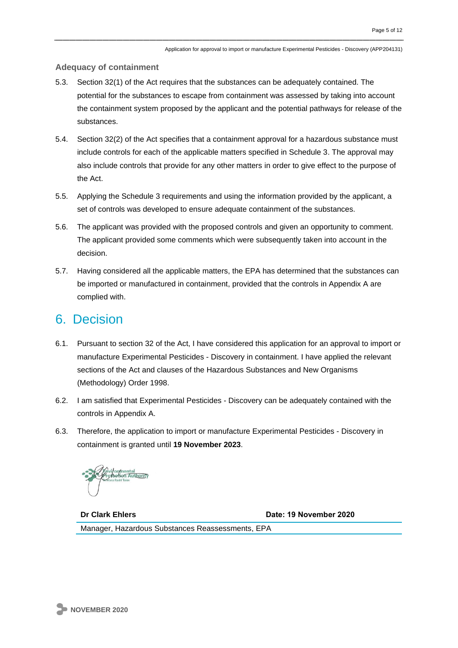#### **Adequacy of containment**

- 5.3. Section 32(1) of the Act requires that the substances can be adequately contained. The potential for the substances to escape from containment was assessed by taking into account the containment system proposed by the applicant and the potential pathways for release of the substances.
- 5.4. Section 32(2) of the Act specifies that a containment approval for a hazardous substance must include controls for each of the applicable matters specified in Schedule 3. The approval may also include controls that provide for any other matters in order to give effect to the purpose of the Act.
- 5.5. Applying the Schedule 3 requirements and using the information provided by the applicant, a set of controls was developed to ensure adequate containment of the substances.
- 5.6. The applicant was provided with the proposed controls and given an opportunity to comment. The applicant provided some comments which were subsequently taken into account in the decision.
- 5.7. Having considered all the applicable matters, the EPA has determined that the substances can be imported or manufactured in containment, provided that the controls in Appendix A are complied with.

### 6. Decision

- 6.1. Pursuant to section 32 of the Act, I have considered this application for an approval to import or manufacture Experimental Pesticides - Discovery in containment. I have applied the relevant sections of the Act and clauses of the Hazardous Substances and New Organisms (Methodology) Order 1998.
- 6.2. I am satisfied that Experimental Pesticides Discovery can be adequately contained with the controls in Appendix A.
- 6.3. Therefore, the application to import or manufacture Experimental Pesticides Discovery in containment is granted until **19 November 2023**.

**Dr Clark Ehlers Date: 19 November 2020** Manager, Hazardous Substances Reassessments, EPA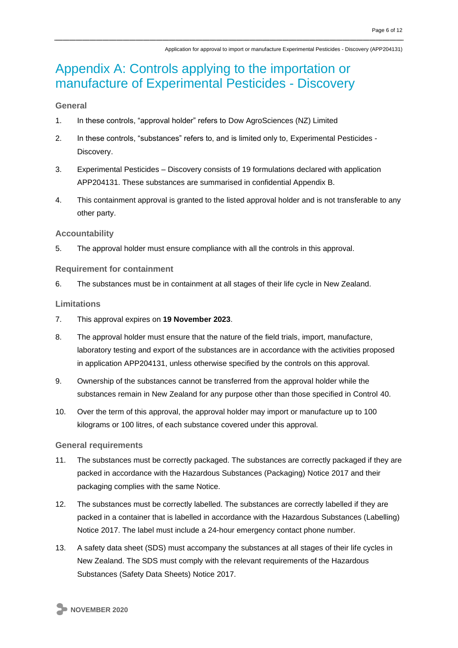## Appendix A: Controls applying to the importation or manufacture of Experimental Pesticides - Discovery

#### **General**

- 1. In these controls, "approval holder" refers to Dow AgroSciences (NZ) Limited
- 2. In these controls, "substances" refers to, and is limited only to, Experimental Pesticides Discovery.
- 3. Experimental Pesticides Discovery consists of 19 formulations declared with application APP204131. These substances are summarised in confidential Appendix B.
- 4. This containment approval is granted to the listed approval holder and is not transferable to any other party.

#### **Accountability**

5. The approval holder must ensure compliance with all the controls in this approval.

#### **Requirement for containment**

6. The substances must be in containment at all stages of their life cycle in New Zealand.

#### **Limitations**

- 7. This approval expires on **19 November 2023**.
- 8. The approval holder must ensure that the nature of the field trials, import, manufacture, laboratory testing and export of the substances are in accordance with the activities proposed in application APP204131, unless otherwise specified by the controls on this approval.
- 9. Ownership of the substances cannot be transferred from the approval holder while the substances remain in New Zealand for any purpose other than those specified in Control 40.
- 10. Over the term of this approval, the approval holder may import or manufacture up to 100 kilograms or 100 litres, of each substance covered under this approval.

#### **General requirements**

- 11. The substances must be correctly packaged. The substances are correctly packaged if they are packed in accordance with the Hazardous Substances (Packaging) Notice 2017 and their packaging complies with the same Notice.
- 12. The substances must be correctly labelled. The substances are correctly labelled if they are packed in a container that is labelled in accordance with the Hazardous Substances (Labelling) Notice 2017. The label must include a 24-hour emergency contact phone number.
- 13. A safety data sheet (SDS) must accompany the substances at all stages of their life cycles in New Zealand. The SDS must comply with the relevant requirements of the Hazardous Substances (Safety Data Sheets) Notice 2017.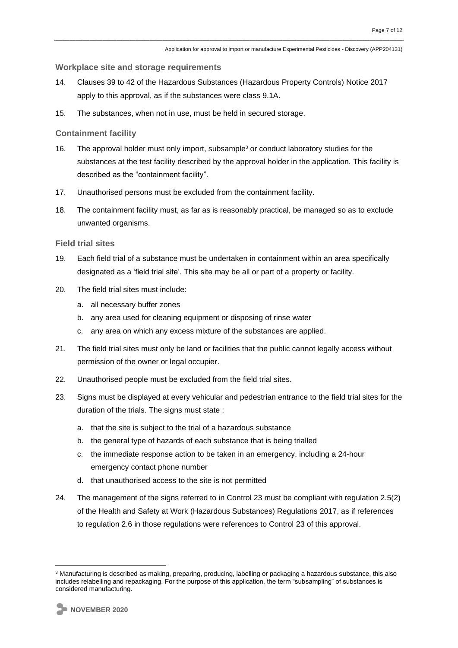**Workplace site and storage requirements**

- 14. Clauses 39 to 42 of the Hazardous Substances (Hazardous Property Controls) Notice 2017 apply to this approval, as if the substances were class 9.1A.
- 15. The substances, when not in use, must be held in secured storage.

**Containment facility** 

- 16. The approval holder must only import, subsample<sup>3</sup> or conduct laboratory studies for the substances at the test facility described by the approval holder in the application. This facility is described as the "containment facility".
- 17. Unauthorised persons must be excluded from the containment facility.
- 18. The containment facility must, as far as is reasonably practical, be managed so as to exclude unwanted organisms.

#### **Field trial sites**

- 19. Each field trial of a substance must be undertaken in containment within an area specifically designated as a 'field trial site'. This site may be all or part of a property or facility.
- 20. The field trial sites must include:
	- a. all necessary buffer zones
	- b. any area used for cleaning equipment or disposing of rinse water
	- c. any area on which any excess mixture of the substances are applied.
- 21. The field trial sites must only be land or facilities that the public cannot legally access without permission of the owner or legal occupier.
- 22. Unauthorised people must be excluded from the field trial sites.
- 23. Signs must be displayed at every vehicular and pedestrian entrance to the field trial sites for the duration of the trials. The signs must state :
	- a. that the site is subject to the trial of a hazardous substance
	- b. the general type of hazards of each substance that is being trialled
	- c. the immediate response action to be taken in an emergency, including a 24-hour emergency contact phone number
	- d. that unauthorised access to the site is not permitted
- 24. The management of the signs referred to in Control 23 must be compliant with regulation 2.5(2) of the Health and Safety at Work (Hazardous Substances) Regulations 2017, as if references to regulation 2.6 in those regulations were references to Control 23 of this approval.

<sup>3</sup> Manufacturing is described as making, preparing, producing, labelling or packaging a hazardous substance, this also includes relabelling and repackaging. For the purpose of this application, the term "subsampling" of substances is considered manufacturing.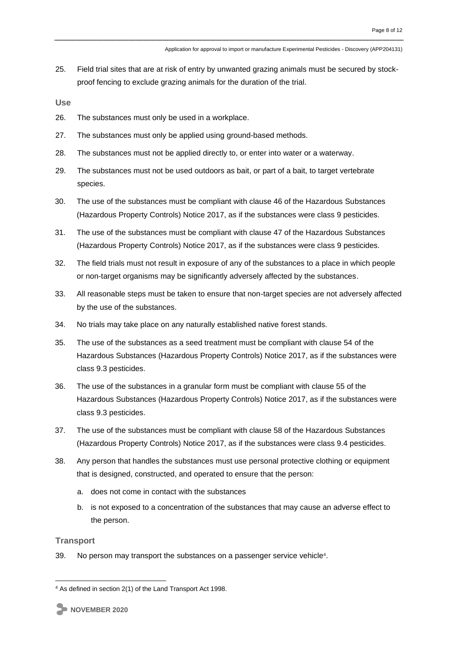25. Field trial sites that are at risk of entry by unwanted grazing animals must be secured by stockproof fencing to exclude grazing animals for the duration of the trial.

**Use**

- 26. The substances must only be used in a workplace.
- 27. The substances must only be applied using ground-based methods.
- 28. The substances must not be applied directly to, or enter into water or a waterway.
- 29. The substances must not be used outdoors as bait, or part of a bait, to target vertebrate species.
- 30. The use of the substances must be compliant with clause 46 of the Hazardous Substances (Hazardous Property Controls) Notice 2017, as if the substances were class 9 pesticides.
- 31. The use of the substances must be compliant with clause 47 of the Hazardous Substances (Hazardous Property Controls) Notice 2017, as if the substances were class 9 pesticides.
- 32. The field trials must not result in exposure of any of the substances to a place in which people or non-target organisms may be significantly adversely affected by the substances.
- 33. All reasonable steps must be taken to ensure that non-target species are not adversely affected by the use of the substances.
- 34. No trials may take place on any naturally established native forest stands.
- 35. The use of the substances as a seed treatment must be compliant with clause 54 of the Hazardous Substances (Hazardous Property Controls) Notice 2017, as if the substances were class 9.3 pesticides.
- 36. The use of the substances in a granular form must be compliant with clause 55 of the Hazardous Substances (Hazardous Property Controls) Notice 2017, as if the substances were class 9.3 pesticides.
- 37. The use of the substances must be compliant with clause 58 of the Hazardous Substances (Hazardous Property Controls) Notice 2017, as if the substances were class 9.4 pesticides.
- 38. Any person that handles the substances must use personal protective clothing or equipment that is designed, constructed, and operated to ensure that the person:
	- a. does not come in contact with the substances
	- b. is not exposed to a concentration of the substances that may cause an adverse effect to the person.

#### **Transport**

39. No person may transport the substances on a passenger service vehicle<sup>4</sup>.

<sup>4</sup> As defined in section 2(1) of the Land Transport Act 1998.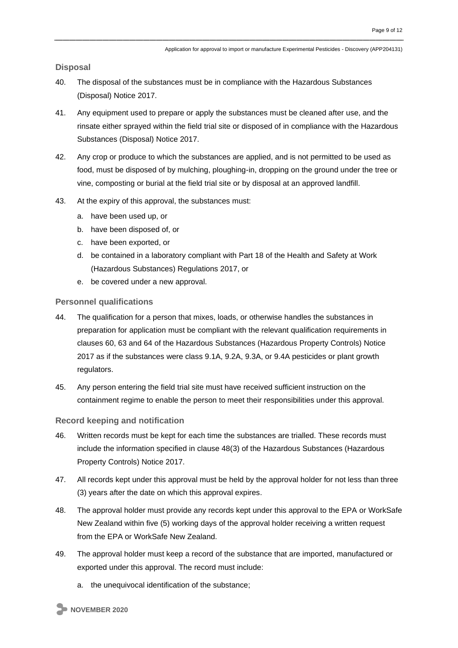**Disposal**

- 40. The disposal of the substances must be in compliance with the Hazardous Substances (Disposal) Notice 2017.
- 41. Any equipment used to prepare or apply the substances must be cleaned after use, and the rinsate either sprayed within the field trial site or disposed of in compliance with the Hazardous Substances (Disposal) Notice 2017.
- 42. Any crop or produce to which the substances are applied, and is not permitted to be used as food, must be disposed of by mulching, ploughing-in, dropping on the ground under the tree or vine, composting or burial at the field trial site or by disposal at an approved landfill.
- 43. At the expiry of this approval, the substances must:
	- a. have been used up, or
	- b. have been disposed of, or
	- c. have been exported, or
	- d. be contained in a laboratory compliant with Part 18 of the Health and Safety at Work (Hazardous Substances) Regulations 2017, or
	- e. be covered under a new approval.

#### **Personnel qualifications**

- 44. The qualification for a person that mixes, loads, or otherwise handles the substances in preparation for application must be compliant with the relevant qualification requirements in clauses 60, 63 and 64 of the Hazardous Substances (Hazardous Property Controls) Notice 2017 as if the substances were class 9.1A, 9.2A, 9.3A, or 9.4A pesticides or plant growth regulators.
- 45. Any person entering the field trial site must have received sufficient instruction on the containment regime to enable the person to meet their responsibilities under this approval.

#### **Record keeping and notification**

- 46. Written records must be kept for each time the substances are trialled. These records must include the information specified in clause 48(3) of the Hazardous Substances (Hazardous Property Controls) Notice 2017.
- 47. All records kept under this approval must be held by the approval holder for not less than three (3) years after the date on which this approval expires.
- 48. The approval holder must provide any records kept under this approval to the EPA or WorkSafe New Zealand within five (5) working days of the approval holder receiving a written request from the EPA or WorkSafe New Zealand.
- 49. The approval holder must keep a record of the substance that are imported, manufactured or exported under this approval. The record must include:
	- a. the unequivocal identification of the substance;

**NOVEMBER 2020**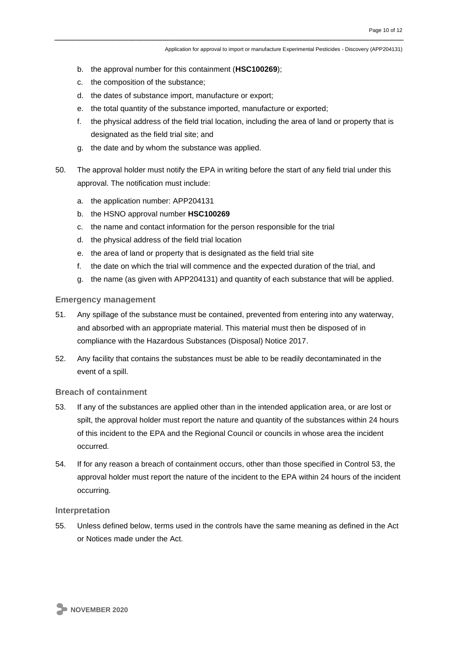Application for approval to import or manufacture Experimental Pesticides - Discovery (APP204131)

- b. the approval number for this containment (**HSC100269**);
- c. the composition of the substance;
- d. the dates of substance import, manufacture or export;
- e. the total quantity of the substance imported, manufacture or exported;
- f. the physical address of the field trial location, including the area of land or property that is designated as the field trial site; and
- g. the date and by whom the substance was applied.
- 50. The approval holder must notify the EPA in writing before the start of any field trial under this approval. The notification must include:
	- a. the application number: APP204131
	- b. the HSNO approval number **HSC100269**
	- c. the name and contact information for the person responsible for the trial
	- d. the physical address of the field trial location
	- e. the area of land or property that is designated as the field trial site
	- f. the date on which the trial will commence and the expected duration of the trial, and
	- g. the name (as given with APP204131) and quantity of each substance that will be applied.

#### **Emergency management**

- 51. Any spillage of the substance must be contained, prevented from entering into any waterway, and absorbed with an appropriate material. This material must then be disposed of in compliance with the Hazardous Substances (Disposal) Notice 2017.
- 52. Any facility that contains the substances must be able to be readily decontaminated in the event of a spill.

#### **Breach of containment**

- 53. If any of the substances are applied other than in the intended application area, or are lost or spilt, the approval holder must report the nature and quantity of the substances within 24 hours of this incident to the EPA and the Regional Council or councils in whose area the incident occurred.
- 54. If for any reason a breach of containment occurs, other than those specified in Control 53, the approval holder must report the nature of the incident to the EPA within 24 hours of the incident occurring.

#### **Interpretation**

55. Unless defined below, terms used in the controls have the same meaning as defined in the Act or Notices made under the Act.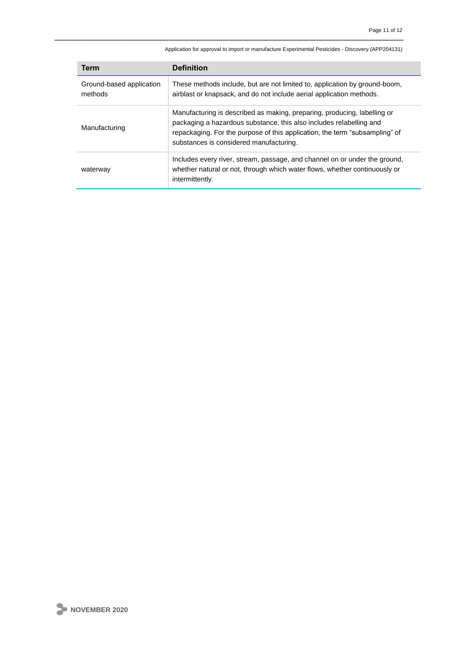| Term                                | <b>Definition</b>                                                                                                                                                                                                                                                         |
|-------------------------------------|---------------------------------------------------------------------------------------------------------------------------------------------------------------------------------------------------------------------------------------------------------------------------|
| Ground-based application<br>methods | These methods include, but are not limited to, application by ground-boom,<br>airblast or knapsack, and do not include aerial application methods.                                                                                                                        |
| Manufacturing                       | Manufacturing is described as making, preparing, producing, labelling or<br>packaging a hazardous substance, this also includes relabelling and<br>repackaging. For the purpose of this application, the term "subsampling" of<br>substances is considered manufacturing. |
| waterway                            | Includes every river, stream, passage, and channel on or under the ground,<br>whether natural or not, through which water flows, whether continuously or<br>intermittently.                                                                                               |

Application for approval to import or manufacture Experimental Pesticides - Discovery (APP204131)